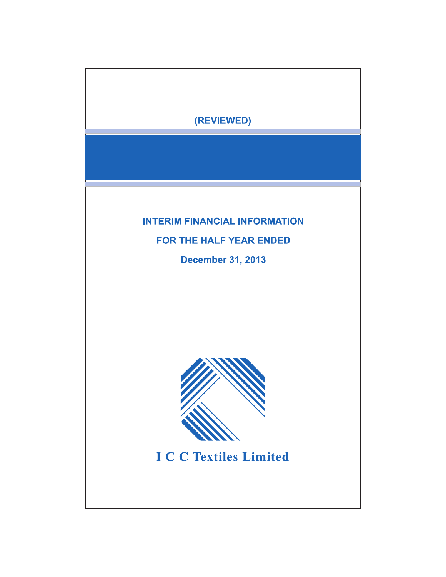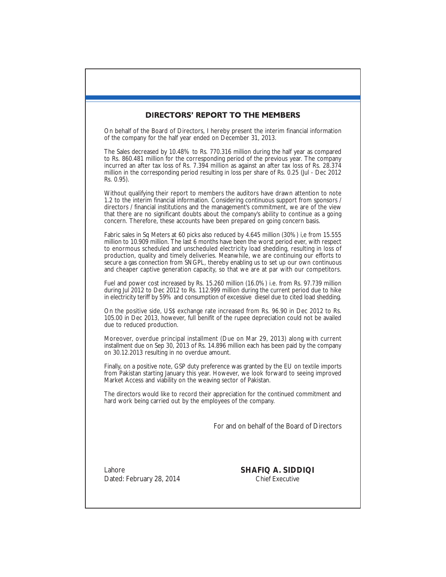# **DIRECTORS' REPORT TO THE MEMBERS**

On behalf of the Board of Directors, I hereby present the interim financial information of the company for the half year ended on December 31, 2013.

The Sales decreased by 10.48% to Rs. 770.316 million during the half year as compared to Rs. 860.481 million for the corresponding period of the previous year. The company incurred an after tax loss of Rs. 7.394 million as against an after tax loss of Rs. 28.374 million in the corresponding period resulting in loss per share of Rs. 0.25 (Jul - Dec 2012 Rs. 0.95).

Without qualifying their report to members the auditors have drawn attention to note 1.2 to the interim financial information. Considering continuous support from sponsors / directors / financial institutions and the management's commitment, we are of the view that there are no significant doubts about the company's ability to continue as a going concern. Therefore, these accounts have been prepared on going concern basis.

Fabric sales in Sq Meters at 60 picks also reduced by 4.645 million (30%) i,e from 15.555 million to 10.909 million. The last 6 months have been the worst period ever, with respect to enormous scheduled and unscheduled electricity load shedding, resulting in loss of production, quality and timely deliveries. Meanwhile, we are continuing our efforts to secure a gas connection from SNGPL, thereby enabling us to set up our own continuous and cheaper captive generation capacity, so that we are at par with our competitors.

Fuel and power cost increased by Rs. 15.260 million (16.0%) i.e. from Rs. 97.739 million during Jul 2012 to Dec 2012 to Rs. 112.999 million during the current period due to hike in electricity teriff by 59% and consumption of excessive diesel due to cited load shedding.

On the positive side, US\$ exchange rate increased from Rs. 96.90 in Dec 2012 to Rs. 105.00 in Dec 2013, however, full benifit of the rupee depreciation could not be availed due to reduced production.

Moreover, overdue principal installment (Due on Mar 29, 2013) along with current installment due on Sep 30, 2013 of Rs. 14.896 million each has been paid by the company on 30.12.2013 resulting in no overdue amount.

Finally, on a positive note, GSP duty preference was granted by the EU on textile imports from Pakistan starting January this year. However, we look forward to seeing improved Market Access and viability on the weaving sector of Pakistan.

The directors would like to record their appreciation for the continued commitment and hard work being carried out by the employees of the company.

For and on behalf of the Board of Directors

Lahore Dated: February 28, 2014 **SHAFIQ A. SIDDIQI** Chief Executive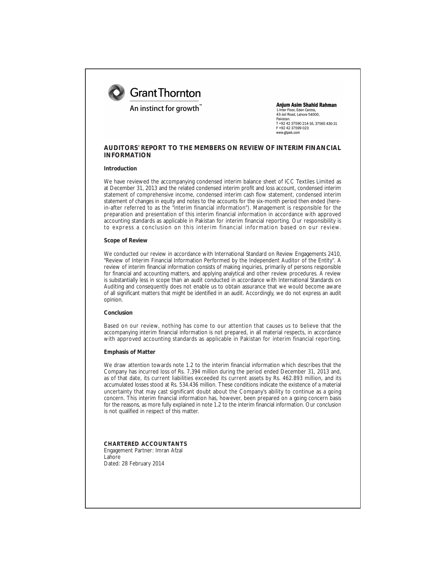

# An instinct for growth"

**Anium Asim Shahid Rahman** 1-Inter Floor, Eden Centre,<br>43-Jail Road, Lahore 54000. Pakistan +92 42 37590 214-16, 37565 430-31 F +92 42 37599 023 www.gtpak.com

# **AUDITORS' REPORT TO THE MEMBERS ON REVIEW OF INTERIM FINANCIAL INFORMATION**

### **Introduction**

We have reviewed the accompanying condensed interim balance sheet of ICC Textiles Limited as at December 31, 2013 and the related condensed interim profit and loss account, condensed interim statement of comprehensive income, condensed interim cash flow statement, condensed interim statement of changes in equity and notes to the accounts for the six-month period then ended (herein-after referred to as the "interim financial information"). Management is responsible for the preparation and presentation of this interim financial information in accordance with approved accounting standards as applicable in Pakistan for interim financial reporting. Our responsibility is to express a conclusion on this interim financial information based on our review.

#### **Scope of Review**

We conducted our review in accordance with International Standard on Review Engagements 2410, "Review of Interim Financial Information Performed by the Independent Auditor of the Entity". A review of interim financial information consists of making inquiries, primarily of persons responsible for financial and accounting matters, and applying analytical and other review procedures. A review is substantially less in scope than an audit conducted in accordance with International Standards on Auditing and consequently does not enable us to obtain assurance that we would become aware of all significant matters that might be identified in an audit. Accordingly, we do not express an audit opinion.

#### **Conclusion**

Based on our review, nothing has come to our attention that causes us to believe that the accompanying interim financial information is not prepared, in all material respects, in accordance with approved accounting standards as applicable in Pakistan for interim financial reporting.

### **Emphasis of Matter**

We draw attention towards note 1.2 to the interim financial information which describes that the Company has incurred loss of Rs. 7.394 million during the period ended December 31, 2013 and, as of that date, its current liabilities exceeded its current assets by Rs. 462.893 million, and its accumulated losses stood at Rs. 534.436 million. These conditions indicate the existence of a material uncertainty that may cast significant doubt about the Company's ability to continue as a going concern. This interim financial information has, however, been prepared on a going concern basis for the reasons, as more fully explained in note 1.2 to the interim financial information. Our conclusion is not qualified in respect of this matter.

**CHARTERED ACCOUNTANTS** Engagement Partner: Imran Afzal Lahore Dated: 28 February 2014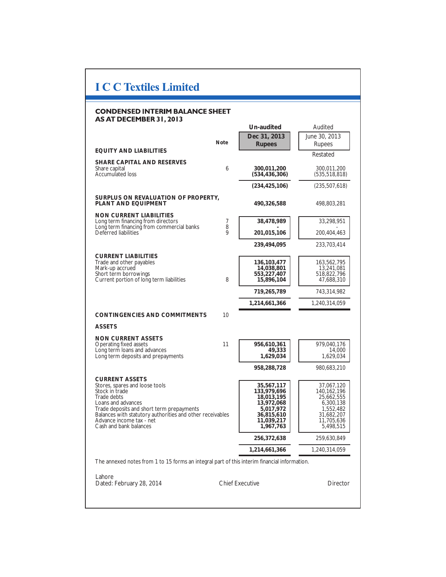# **I C C Textiles Limited**

# **CONDENSED INTERIM BALANCE SHEET** AS AT DECEMBER 31, 2013

|                                                                                                        |                        | Un-audited                     | Audited                        |
|--------------------------------------------------------------------------------------------------------|------------------------|--------------------------------|--------------------------------|
|                                                                                                        |                        | Dec 31, 2013                   | June 30, 2013                  |
|                                                                                                        | <b>Note</b>            | <b>Rupees</b>                  | Rupees                         |
| EQUITY AND LIABILITIES                                                                                 |                        |                                | Restated                       |
| SHARE CAPITAL AND RESERVES                                                                             |                        |                                |                                |
| Share capital<br><b>Accumulated loss</b>                                                               | $\boldsymbol{6}$       | 300,011,200<br>(534, 436, 306) | 300,011,200<br>(535, 518, 818) |
|                                                                                                        |                        |                                |                                |
|                                                                                                        |                        | (234, 425, 106)                | (235, 507, 618)                |
| SURPLUS ON REVALUATION OF PROPERTY.<br>PLANT AND EQUIPMENT                                             |                        | 490,326,588                    | 498,803,281                    |
| <b>NON CURRENT LIABILITIES</b>                                                                         |                        |                                |                                |
| Long term financing from directors<br>Long term financing from commercial banks                        | 7<br>8                 | 38,478,989                     | 33,298,951                     |
| Deferred liabilities                                                                                   | 9                      | 201,015,106                    | 200,404,463                    |
|                                                                                                        |                        | 239,494,095                    | 233,703,414                    |
| <b>CURRENT LIABILITIES</b>                                                                             |                        |                                |                                |
| Trade and other payables                                                                               |                        | 136, 103, 477                  | 163,562,795                    |
| Mark-up accrued                                                                                        |                        | 14,038,801                     | 13,241,081                     |
| Short term borrowings<br>Current portion of long term liabilities                                      | 8                      | 553,227,407<br>15,896,104      | 518,822,796<br>47,688,310      |
|                                                                                                        |                        |                                |                                |
|                                                                                                        |                        | 719,265,789                    | 743,314,982                    |
|                                                                                                        |                        | 1,214,661,366                  | 1,240,314,059                  |
| CONTINGENCIES AND COMMITMENTS                                                                          | 10                     |                                |                                |
| <b>ASSETS</b>                                                                                          |                        |                                |                                |
|                                                                                                        |                        |                                |                                |
| <b>NON CURRENT ASSETS</b><br>Operating fixed assets                                                    | 11                     | 956,610,361                    | 979,040,176                    |
| Long term loans and advances                                                                           |                        | 49,333                         | 14,000                         |
| Long term deposits and prepayments                                                                     |                        | 1,629,034                      | 1,629,034                      |
|                                                                                                        |                        | 958,288,728                    | 980,683,210                    |
| <b>CURRENT ASSETS</b>                                                                                  |                        |                                |                                |
| Stores, spares and loose tools                                                                         |                        | 35,567,117                     | 37,067,120                     |
| Stock in trade                                                                                         |                        | 133,979,696                    | 140, 162, 196                  |
| Trade debts                                                                                            |                        | 18,013,195                     | 25,662,555                     |
| Loans and advances                                                                                     |                        | 13,972,068<br>5,017,972        | 6,300,138                      |
| Trade deposits and short term prepayments<br>Balances with statutory authorities and other receivables |                        | 36,815,610                     | 1,552,482<br>31,682,207        |
| Advance income tax - net                                                                               |                        | 11,039,217                     | 11,705,636                     |
| Cash and bank balances                                                                                 |                        | 1,967,763                      | 5,498,515                      |
|                                                                                                        |                        | 256,372,638                    | 259,630,849                    |
|                                                                                                        |                        | 1,214,661,366                  | 1,240,314,059                  |
| The annexed notes from 1 to 15 forms an integral part of this interim financial information.           |                        |                                |                                |
|                                                                                                        |                        |                                |                                |
| Lahore                                                                                                 |                        |                                |                                |
| Dated: February 28, 2014                                                                               | <b>Chief Executive</b> |                                | Director                       |
|                                                                                                        |                        |                                |                                |
|                                                                                                        |                        |                                |                                |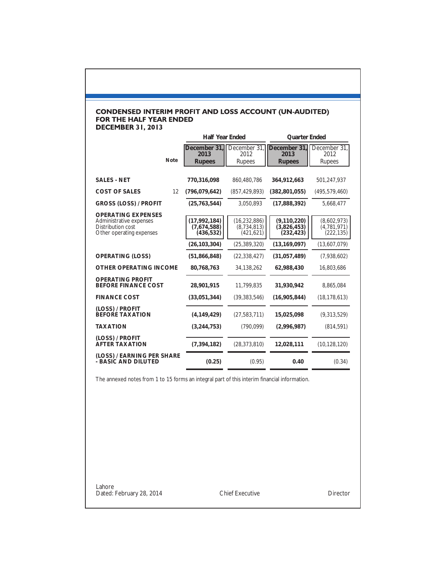# CONDENSED INTERIM PROFIT AND LOSS ACCOUNT (UN-AUDITED)<br>FOR THE HALF YEAR ENDED<br>DECEMBER 31, 2013

|                                                                                                       | Half Year Ended                           |                                             | Quarter Ended                              |                                          |
|-------------------------------------------------------------------------------------------------------|-------------------------------------------|---------------------------------------------|--------------------------------------------|------------------------------------------|
| Note                                                                                                  | December 31.<br>2013<br><b>Rupees</b>     | December 31.<br>2012<br><b>Rupees</b>       | December 31.<br>2013<br><b>Rupees</b>      | December 31.<br>2012<br><b>Rupees</b>    |
|                                                                                                       |                                           |                                             |                                            |                                          |
| <b>SALES - NET</b>                                                                                    | 770,316,098                               | 860,480,786                                 | 364,912,663                                | 501,247,937                              |
| 12<br><b>COST OF SALES</b>                                                                            | (796,079,642)                             | (857, 429, 893)                             | (382, 801, 055)                            | (495, 579, 460)                          |
| <b>GROSS (LOSS) / PROFIT</b>                                                                          | (25,763,544)                              | 3,050,893                                   | (17,888,392)                               | 5,668,477                                |
| <b>OPERATING EXPENSES</b><br>Administrative expenses<br>Distribution cost<br>Other operating expenses | (17.992.184)<br>(7,674,588)<br>(436, 532) | (16, 232, 886)<br>(8,734,813)<br>(421, 621) | (9, 110, 220)<br>(3,826,453)<br>(232, 423) | (8,602,973)<br>(4,781,971)<br>(222, 135) |
|                                                                                                       | (26, 103, 304)                            | (25, 389, 320)                              | (13, 169, 097)                             | (13,607,079)                             |
| <b>OPERATING (LOSS)</b>                                                                               | (51,866,848)                              | (22, 338, 427)                              | (31,057,489)                               | (7,938,602)                              |
| OTHER OPERATING INCOME                                                                                | 80,768,763                                | 34,138,262                                  | 62,988,430                                 | 16,803,686                               |
| <b>OPERATING PROFIT</b><br><b>BEFORE FINANCE COST</b>                                                 | 28,901,915                                | 11,799,835                                  | 31,930,942                                 | 8,865,084                                |
| <b>FINANCE COST</b>                                                                                   | (33,051,344)                              | (39, 383, 546)                              | (16, 905, 844)                             | (18, 178, 613)                           |
| (LOSS) / PROFIT<br><b>BEFORE TAXATION</b>                                                             | (4, 149, 429)                             | (27, 583, 711)                              | 15,025,098                                 | (9,313,529)                              |
| <b>TAXATION</b>                                                                                       | (3,244,753)                               | (790, 099)                                  | (2,996,987)                                | (814, 591)                               |
| (LOSS) / PROFIT<br><b>AFTER TAXATION</b>                                                              | (7, 394, 182)                             | (28, 373, 810)                              | 12,028,111                                 | (10, 128, 120)                           |
| (LOSS) / EARNING PER SHARE<br>- BASIC AND DILUTED                                                     | (0.25)                                    | (0.95)                                      | 0.40                                       | (0.34)                                   |

The annexed notes from 1 to 15 forms an integral part of this interim financial information.

Lahore Dated: February 28, 2014 Chief Executive Director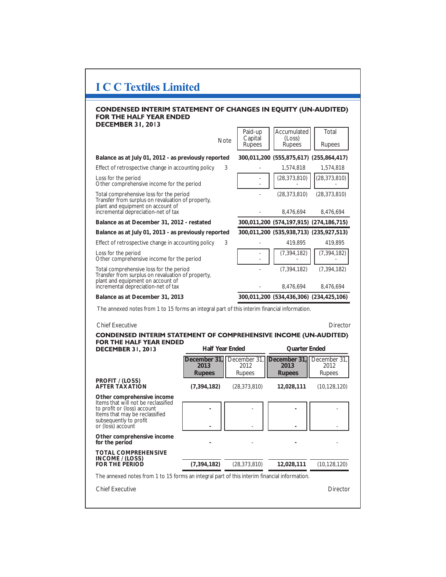| <b>I C C Textiles Limited</b>                                                                                                                                                     |                                |                                       |                                         |                                       |  |
|-----------------------------------------------------------------------------------------------------------------------------------------------------------------------------------|--------------------------------|---------------------------------------|-----------------------------------------|---------------------------------------|--|
| <b>CONDENSED INTERIM STATEMENT OF CHANGES IN EQUITY (UN-AUDITED)</b><br><b>FOR THE HALF YEAR ENDED</b>                                                                            |                                |                                       |                                         |                                       |  |
| <b>DECEMBER 31, 2013</b>                                                                                                                                                          | Note                           | Paid-up<br>Capital<br>Rupees          | Accumulated<br>(Loss)<br><b>Rupees</b>  | Total<br><b>Rupees</b>                |  |
| Balance as at July 01, 2012 - as previously reported                                                                                                                              |                                |                                       | 300,011,200 (555,875,617) (255,864,417) |                                       |  |
| Effect of retrospective change in accounting policy                                                                                                                               | 3                              |                                       | 1,574,818                               | 1,574,818                             |  |
| Loss for the period<br>Other comprehensive income for the period                                                                                                                  |                                |                                       | (28, 373, 810)                          | (28, 373, 810)                        |  |
| Total comprehensive loss for the period<br>Transfer from surplus on revaluation of property,<br>plant and equipment on account of                                                 |                                |                                       | (28, 373, 810)                          | (28, 373, 810)                        |  |
| incremental depreciation-net of tax                                                                                                                                               |                                |                                       | 8,476,694                               | 8,476,694                             |  |
| Balance as at December 31, 2012 - restated                                                                                                                                        |                                |                                       | 300,011,200 (574,197,915) (274,186,715) |                                       |  |
| Balance as at July 01, 2013 - as previously reported                                                                                                                              |                                |                                       | 300,011,200 (535,938,713) (235,927,513) |                                       |  |
| Effect of retrospective change in accounting policy                                                                                                                               | 3                              |                                       | 419,895                                 | 419,895                               |  |
| Loss for the period<br>Other comprehensive income for the period                                                                                                                  |                                |                                       | (7, 394, 182)                           | (7, 394, 182)                         |  |
| Total comprehensive loss for the period<br>Transfer from surplus on revaluation of property.<br>plant and equipment on account of                                                 |                                |                                       | (7, 394, 182)                           | (7, 394, 182)                         |  |
| incremental depreciation-net of tax                                                                                                                                               |                                |                                       | 8,476,694                               | 8,476,694                             |  |
| Balance as at December 31, 2013<br>300,011,200 (534,436,306) (234,425,106)                                                                                                        |                                |                                       |                                         |                                       |  |
| The annexed notes from 1 to 15 forms an integral part of this interim financial information.                                                                                      |                                |                                       |                                         |                                       |  |
| <b>Chief Executive</b>                                                                                                                                                            |                                |                                       |                                         | Director                              |  |
| <b>CONDENSED INTERIM STATEMENT OF COMPREHENSIVE INCOME (UN-AUDITED)</b>                                                                                                           |                                |                                       |                                         |                                       |  |
| FOR THE HALF YEAR ENDED<br><b>DECEMBER 31, 2013</b>                                                                                                                               | Half Year Ended                |                                       | Quarter Ended                           |                                       |  |
|                                                                                                                                                                                   | December 31.<br>2013<br>Rupees | December 31,<br>2012<br><b>Rupees</b> | December 31.<br>2013<br>Rupees          | December 31.<br>2012<br><b>Rupees</b> |  |
| PROFIT / (LOSS)<br><b>AFTER TAXATION</b>                                                                                                                                          | (7, 394, 182)                  | (28, 373, 810)                        | 12,028,111                              | (10, 128, 120)                        |  |
| Other comprehensive income<br>Items that will not be reclassified<br>to profit or (loss) account<br>Items that may be reclassified<br>subsequently to profit<br>or (loss) account |                                |                                       |                                         |                                       |  |
| Other comprehensive income<br>for the period                                                                                                                                      |                                |                                       |                                         |                                       |  |
| <b>TOTAL COMPREHENSIVE</b><br>INCOME / (LOSS)<br><b>FOR THE PERIOD</b>                                                                                                            | (7, 394, 182)                  | (28, 373, 810)                        | 12,028,111                              | (10, 128, 120)                        |  |
| The annexed notes from 1 to 15 forms an integral part of this interim financial information.                                                                                      |                                |                                       |                                         |                                       |  |
| <b>Chief Executive</b>                                                                                                                                                            |                                |                                       |                                         | Director                              |  |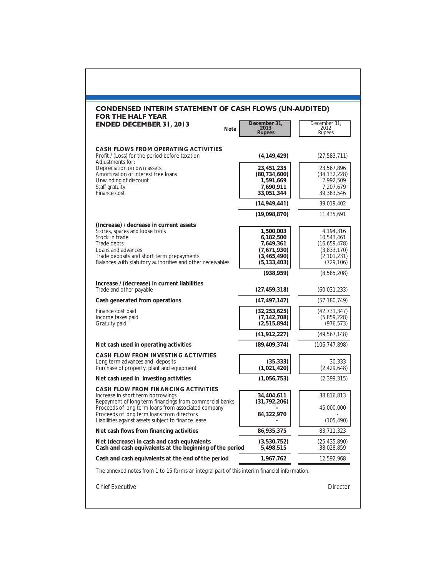| <b>CONDENSED INTERIM STATEMENT OF CASH FLOWS (UN-AUDITED)</b><br><b>FOR THE HALF YEAR</b>                                                                                                                                                  |                                                                                    |                                                                                     |
|--------------------------------------------------------------------------------------------------------------------------------------------------------------------------------------------------------------------------------------------|------------------------------------------------------------------------------------|-------------------------------------------------------------------------------------|
| <b>ENDED DECEMBER 31, 2013</b><br>Note                                                                                                                                                                                                     | December 31,<br>2013<br>Rupees                                                     | December 31,<br>2012<br>Rupees                                                      |
| CASH FLOWS FROM OPERATING ACTIVITIES<br>Profit / (Loss) for the period before taxation<br>Adjustments for:                                                                                                                                 | (4, 149, 429)                                                                      | (27, 583, 711)                                                                      |
| Depreciation on own assets<br>Amortization of interest free loans<br>Unwinding of discount<br>Staff gratuity<br><b>Finance cost</b>                                                                                                        | 23,451,235<br>(80, 734, 600)<br>1,591,669<br>7,690,911<br>33,051,344               | 23,567,896<br>(34, 132, 228)<br>2,992,509<br>7,207,679<br>39,383,546                |
|                                                                                                                                                                                                                                            | (14, 949, 441)                                                                     | 39,019,402                                                                          |
|                                                                                                                                                                                                                                            | (19,098,870)                                                                       | 11,435,691                                                                          |
| (Increase) / decrease in current assets<br>Stores, spares and loose tools<br>Stock in trade<br>Trade debts<br>Loans and advances<br>Trade deposits and short term prepayments<br>Balances with statutory authorities and other receivables | 1,500,003<br>6,182,500<br>7,649,361<br>(7,671,930)<br>(3,465,490)<br>(5, 133, 403) | 4,194,316<br>10,543,461<br>(16,659,478)<br>(3,833,170)<br>(2,101,231)<br>(729, 106) |
|                                                                                                                                                                                                                                            | (938, 959)                                                                         | (8,585,208)                                                                         |
| Increase / (decrease) in current liabilities<br>Trade and other payable                                                                                                                                                                    | (27, 459, 318)                                                                     | (60, 031, 233)                                                                      |
| Cash generated from operations                                                                                                                                                                                                             | (47, 497, 147)                                                                     | (57, 180, 749)                                                                      |
| Finance cost paid<br>Income taxes paid<br>Gratuity paid                                                                                                                                                                                    | (32, 253, 625)<br>(7, 142, 708)<br>(2,515,894)                                     | (42, 731, 347)<br>(5,859,228)<br>(976, 573)                                         |
|                                                                                                                                                                                                                                            | (41, 912, 227)                                                                     | (49, 567, 148)                                                                      |
| Net cash used in operating activities                                                                                                                                                                                                      | (89, 409, 374)                                                                     | (106, 747, 898)                                                                     |
| CASH FLOW FROM INVESTING ACTIVITIES<br>Long term advances and deposits<br>Purchase of property, plant and equipment                                                                                                                        | (35, 333)<br>(1,021,420)                                                           | 30,333<br>(2,429,648)                                                               |
| Net cash used in investing activities                                                                                                                                                                                                      | (1,056,753)                                                                        | (2,399,315)                                                                         |
| <b>CASH FLOW FROM FINANCING ACTIVITIES</b><br>Increase in short term borrowings<br>Repayment of long term financings from commercial banks                                                                                                 | 34,404,611<br>(31, 792, 206)                                                       | 38,816,813                                                                          |
| Proceeds of long term loans from associated company<br>Proceeds of long term loans from directors<br>Liabilities against assets subject to finance lease                                                                                   | 84,322,970                                                                         | 45,000,000<br>(105, 490)                                                            |
| Net cash flows from financing activities                                                                                                                                                                                                   | 86,935,375                                                                         | 83,711,323                                                                          |
| Net (decrease) in cash and cash equivalents<br>Cash and cash equivalents at the beginning of the period                                                                                                                                    | (3,530,752)<br>5,498,515                                                           | (25, 435, 890)<br>38,028,859                                                        |
| Cash and cash equivalents at the end of the period                                                                                                                                                                                         | 1,967,762                                                                          | 12,592,968                                                                          |
| The annexed notes from 1 to 15 forms an integral part of this interim financial information.                                                                                                                                               |                                                                                    |                                                                                     |
| <b>Chief Executive</b>                                                                                                                                                                                                                     |                                                                                    | Director                                                                            |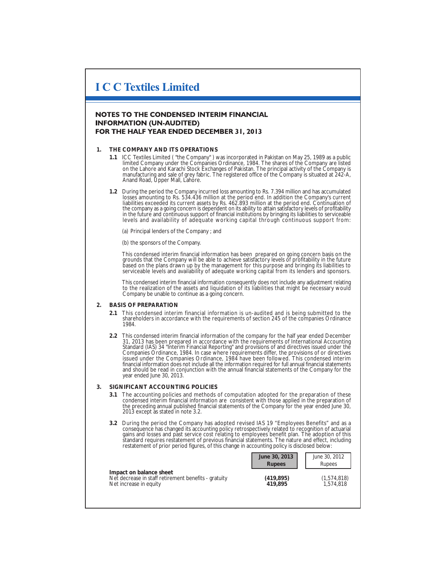# **I C C Textiles Limited**

# **NOTES TO THE CONDENSED INTERIM FINANCIAL INFORMATION (UN-AUDITED)** FOR THE HALF YEAR ENDED DECEMBER 31, 2013

## **1. THE COMPANY AND ITS OPERATIONS**

- **1.1** ICC Textiles Limited ( "the Company" ) was incorporated in Pakistan on May 25, 1989 as a public limited Company under the Companies Ordinance, 1984. The shares of the Company are listed on the Lahore and Karachi Stock Exchanges of Pakistan. The principal activity of the Company is manufacturing and sale of grey fabric. The registered office of the Company is situated at 242-A, Anand Road, Upper Mall, Lahore.
- **1.2** During the period the Company incurred loss amounting to Rs. 7.394 million and has accumulated losses amounting to Rs. 534.436 million at the period end. In addition the Company's current liabilities exceeded its current assets by Rs. 462.893 million at the period end. Continuation of the company as a going concern is dependent on its ability to attain satisfactory levels of profitability in the future and continuous support of financial institutions by bringing its liabilities to serviceable levels and availability of adequate working capital through continuous support from:

(a) Principal lenders of the Company ; and

(b) the sponsors of the Company.

This condensed interim financial information has been prepared on going concern basis on the grounds that the Company will be able to achieve satisfactory levels of profitability in the future based on the plans drawn up by the management for this purpose and bringing its liabilities to serviceable levels and availability of adequate working capital from its lenders and sponsors.

This condensed interim financial information consequently does not include any adjustment relating to the realization of the assets and liquidation of its liabilities that might be necessary would Company be unable to continue as a going concern.

## **2. BASIS OF PREPARATION**

- **2.1** This condensed interim financial information is un-audited and is being submitted to the shareholders in accordance with the requirements of section 245 of the companies Ordinance 1984.
- **2.2** This condensed interim financial information of the company for the half year ended December 31, 2013 has been prepared in accordance with the requirements of International Accounting Standard (IAS) 34 "Interim Financial Reporting" and provisions of and directives issued under the Companies Ordinance, 1984. In case where requirements differ, the provisions of or directives<br>issued under the Companies Ordinance, 1984 have been followed. This condensed interim<br>financial information does not include all and should be read in conjunction with the annual financial statements of the Company for the year ended June 30, 2013.

#### **3. SIGNIFICANT ACCOUNTING POLICIES**

- **3.1** The accounting policies and methods of computation adopted for the preparation of these condensed interim financial information are consistent with those applied in the preparation of the preceding annual published financial statements of the Company for the year ended June 30, 2013 except as stated in note 3.2.
- **3.2** During the period the Company has adopted revised IAS 19 "Employees Benefits" and as a consequence has changed its accounting policy retrospectively related to recognition of actuarial<br>gains and losses and past service cost relating to employees benefit plan. The adoption of this<br>standard requires restatemen restatement of prior period figures, of this change in accounting policy is disclosed below:

|                                                                                                           | June 30, 2013<br><b>Rupees</b> | June 30, 2012<br><b>Rupees</b> |
|-----------------------------------------------------------------------------------------------------------|--------------------------------|--------------------------------|
| Impact on balance sheet<br>Net decrease in staff retirement benefits - gratuity<br>Net increase in equity | (419, 895)<br>419.895          | (1,574,818)<br>1.574.818       |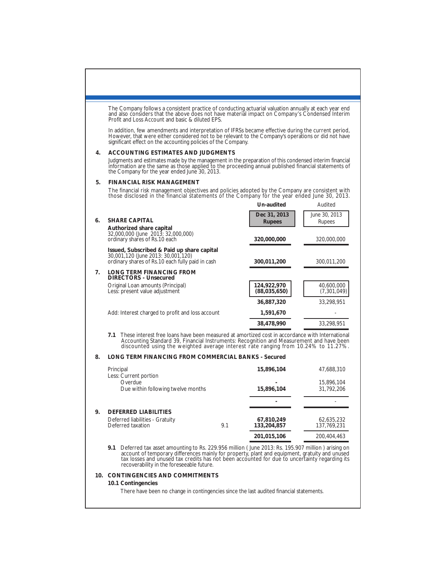|    | The Company follows a consistent practice of conducting actuarial valuation annually at each year end<br>and also considers that the above does not have material impact on Company's Condensed Interim<br>Profit and Loss Account and basic & diluted EPS.                                                                                          |     |                             |                           |  |  |
|----|------------------------------------------------------------------------------------------------------------------------------------------------------------------------------------------------------------------------------------------------------------------------------------------------------------------------------------------------------|-----|-----------------------------|---------------------------|--|--|
|    | In addition, few amendments and interpretation of IFRSs became effective during the current period,<br>However, that were either considered not to be relevant to the Company's operations or did not have<br>significant effect on the accounting policies of the Company.                                                                          |     |                             |                           |  |  |
| 4. | ACCOUNTING ESTIMATES AND JUDGMENTS                                                                                                                                                                                                                                                                                                                   |     |                             |                           |  |  |
|    | Judgments and estimates made by the management in the preparation of this condensed interim financial<br>information are the same as those applied to the proceeding annual published financial statements of<br>the Company for the year ended June 30, 2013.                                                                                       |     |                             |                           |  |  |
| 5. | FINANCIAL RISK MANAGEMENT                                                                                                                                                                                                                                                                                                                            |     |                             |                           |  |  |
|    | The financial risk management objectives and policies adopted by the Company are consistent with<br>those disclosed in the financial statements of the Company for the year ended June 30, 2013.                                                                                                                                                     |     |                             |                           |  |  |
|    |                                                                                                                                                                                                                                                                                                                                                      |     | Un-audited                  | Audited                   |  |  |
| 6. | <b>SHARE CAPITAL</b>                                                                                                                                                                                                                                                                                                                                 |     | Dec 31, 2013<br>Rupees      | June 30, 2013<br>Rupees   |  |  |
|    | Authorized share capital<br>32,000,000 (June 2013: 32,000,000)<br>ordinary shares of Rs.10 each                                                                                                                                                                                                                                                      |     | 320,000,000                 | 320,000,000               |  |  |
|    | Issued, Subscribed & Paid up share capital<br>30,001,120 (June 2013: 30,001,120)<br>ordinary shares of Rs.10 each fully paid in cash                                                                                                                                                                                                                 |     | 300,011,200                 | 300,011,200               |  |  |
| 7. | LONG TERM FINANCING FROM<br>DIRECTORS - Unsecured                                                                                                                                                                                                                                                                                                    |     |                             |                           |  |  |
|    | Original Loan amounts (Principal)<br>Less: present value adjustment                                                                                                                                                                                                                                                                                  |     | 124,922,970<br>(88,035,650) | 40,600,000<br>(7,301,049) |  |  |
|    |                                                                                                                                                                                                                                                                                                                                                      |     | 36,887,320                  | 33,298,951                |  |  |
|    | Add: Interest charged to profit and loss account                                                                                                                                                                                                                                                                                                     |     | 1,591,670                   |                           |  |  |
|    |                                                                                                                                                                                                                                                                                                                                                      |     | 38,478,990                  | 33,298,951                |  |  |
|    | 7.1 These interest free loans have been measured at amortized cost in accordance with International<br>Accounting Standard 39, Financial Instruments: Recognition and Measurement and have been<br>discounted using the weighted average interest rate ranging from 10.24% to 11.27%.                                                                |     |                             |                           |  |  |
| 8. | LONG TERM FINANCING FROM COMMERCIAL BANKS - Secured                                                                                                                                                                                                                                                                                                  |     |                             |                           |  |  |
|    | Principal<br>Less: Current portion                                                                                                                                                                                                                                                                                                                   |     | 15,896,104                  | 47,688,310                |  |  |
|    | Overdue<br>Due within following twelve months                                                                                                                                                                                                                                                                                                        |     | 15,896,104                  | 15,896,104<br>31,792,206  |  |  |
|    |                                                                                                                                                                                                                                                                                                                                                      |     |                             |                           |  |  |
| 9. | DEFERRED LIABILITIES                                                                                                                                                                                                                                                                                                                                 |     |                             |                           |  |  |
|    | Deferred liabilities - Gratuity<br>Deferred taxation                                                                                                                                                                                                                                                                                                 | 9.1 | 67,810,249<br>133,204,857   | 62,635,232<br>137,769,231 |  |  |
|    |                                                                                                                                                                                                                                                                                                                                                      |     | 201,015,106                 | 200,404,463               |  |  |
|    | 9.1 Deferred tax asset amounting to Rs. 229.956 million (June 2013: Rs. 195.907 million ) arising on<br>account of temporary differences mainly for property, plant and equipment, gratuity and unused<br>tax losses and unused tax credits has not been accounted for due to uncertainty regarding its<br>recoverability in the foreseeable future. |     |                             |                           |  |  |
|    | 10. CONTINGENCIES AND COMMITMENTS<br>10.1 Contingencies<br>There have been no change in contingencies since the last audited financial statements.                                                                                                                                                                                                   |     |                             |                           |  |  |
|    |                                                                                                                                                                                                                                                                                                                                                      |     |                             |                           |  |  |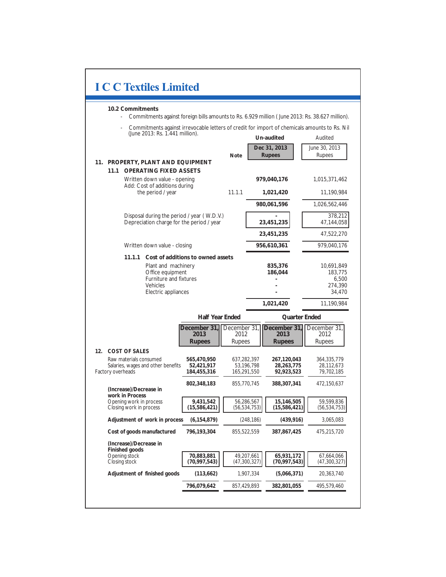| <b>I C C Textiles Limited</b>                                                                                                                                     |                                          |                                       |                              |                                           |                                                     |  |
|-------------------------------------------------------------------------------------------------------------------------------------------------------------------|------------------------------------------|---------------------------------------|------------------------------|-------------------------------------------|-----------------------------------------------------|--|
| 10.2 Commitments<br>Commitments against foreign bills amounts to Rs. 6.929 million (June 2013: Rs. 38.627 million).                                               |                                          |                                       |                              |                                           |                                                     |  |
| Commitments against irrevocable letters of credit for import of chemicals amounts to Rs. Nil<br>(June 2013: Rs. 1.441 million).                                   |                                          |                                       |                              | Un-audited                                | Audited                                             |  |
|                                                                                                                                                                   |                                          | Note                                  |                              | Dec 31, 2013<br>Rupees                    | June 30, 2013<br><b>Rupees</b>                      |  |
| 11. PROPERTY, PLANT AND EQUIPMENT                                                                                                                                 |                                          |                                       |                              |                                           |                                                     |  |
| <b>OPERATING FIXED ASSETS</b><br>11.1<br>Written down value - opening                                                                                             |                                          |                                       |                              | 979,040,176                               | 1,015,371,462                                       |  |
| Add: Cost of additions during<br>the period / year                                                                                                                |                                          | 11.1.1                                |                              | 1,021,420                                 | 11,190,984                                          |  |
|                                                                                                                                                                   |                                          |                                       |                              | 980,061,596                               | 1,026,562,446                                       |  |
| Disposal during the period / year (W.D.V.)<br>Depreciation charge for the period / year                                                                           |                                          |                                       |                              | 23,451,235                                | 378,212<br>47,144,058                               |  |
|                                                                                                                                                                   |                                          |                                       |                              | 23,451,235                                | 47,522,270                                          |  |
| Written down value - closing                                                                                                                                      |                                          |                                       |                              | 956,610,361                               | 979,040,176                                         |  |
| 11.1.1<br>Cost of additions to owned assets<br>Plant and machinery<br>Office equipment<br><b>Furniture and fixtures</b><br><b>Vehicles</b><br>Electric appliances |                                          |                                       | 835,376<br>186,044           |                                           | 10,691,849<br>183,775<br>6,500<br>274,390<br>34,470 |  |
|                                                                                                                                                                   |                                          |                                       |                              | 1,021,420                                 | 11,190,984                                          |  |
|                                                                                                                                                                   | <b>Half Year Ended</b>                   |                                       |                              | Quarter Ended                             |                                                     |  |
|                                                                                                                                                                   | December 31<br>2013<br><b>Rupees</b>     | December 31.<br>2012<br><b>Rupees</b> |                              | December 31.<br>2013<br><b>Rupees</b>     | December 31,<br>2012<br><b>Rupees</b>               |  |
| 12.<br><b>COST OF SALES</b>                                                                                                                                       |                                          |                                       |                              |                                           |                                                     |  |
| Raw materials consumed<br>Salaries, wages and other benefits<br>Factory overheads                                                                                 | 565,470,950<br>52,421,917<br>184,455,316 | 637,282,397<br>165,291,550            | 53,196,798                   | 267,120,043<br>28, 263, 775<br>92,923,523 | 364,335,779<br>28,112,673<br>79,702,185             |  |
| (Increase)/Decrease in                                                                                                                                            | 802,348,183                              | 855,770,745                           |                              | 388,307,341                               | 472,150,637                                         |  |
| work in Process<br>Opening work in process<br>Closing work in process                                                                                             | 9,431,542<br>(15, 586, 421)              |                                       | 56,286,567<br>(56, 534, 753) | 15,146,505<br>(15, 586, 421)              | 59,599,836<br>(56, 534, 753)                        |  |
| Adjustment of work in process                                                                                                                                     | (6, 154, 879)                            |                                       | (248, 186)                   | (439, 916)                                | 3,065,083                                           |  |
| Cost of goods manufactured                                                                                                                                        | 796,193,304                              | 855,522,559                           |                              | 387,867,425                               | 475,215,720                                         |  |
| (Increase)/Decrease in<br>Finished goods<br>Opening stock                                                                                                         | 70,883,881                               |                                       | 49,207,661                   | 65,931,172                                | 67,664,066                                          |  |
| Closing stock                                                                                                                                                     | (70,997,543)                             |                                       | (47,300,327)                 | (70, 997, 543)                            | (47,300,327)                                        |  |
| Adjustment of finished goods                                                                                                                                      | (113, 662)                               |                                       | 1,907,334                    | (5,066,371)                               | 20,363,740                                          |  |
|                                                                                                                                                                   | 796,079,642                              |                                       | 857,429,893                  | 382,801,055                               | 495,579,460                                         |  |
|                                                                                                                                                                   |                                          |                                       |                              |                                           |                                                     |  |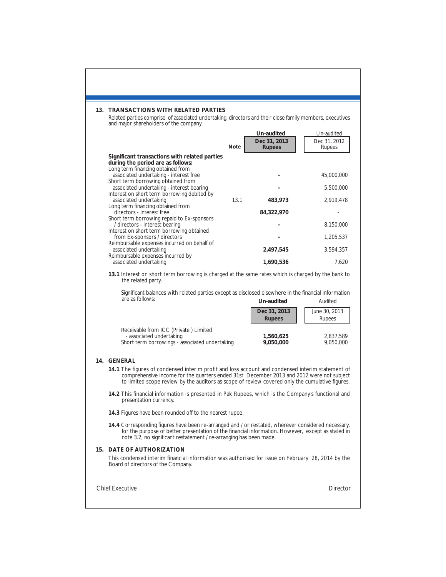| 13. TRANSACTIONS WITH RELATED PARTIES<br>Related parties comprise of associated undertaking, directors and their close family members, executives<br>and major shareholders of the company.                                                                                                                                                                                                                                                                                                                                                                                                                                                                                                                                                                                                                                      |      |                                                                       |                                                                                      |  |
|----------------------------------------------------------------------------------------------------------------------------------------------------------------------------------------------------------------------------------------------------------------------------------------------------------------------------------------------------------------------------------------------------------------------------------------------------------------------------------------------------------------------------------------------------------------------------------------------------------------------------------------------------------------------------------------------------------------------------------------------------------------------------------------------------------------------------------|------|-----------------------------------------------------------------------|--------------------------------------------------------------------------------------|--|
|                                                                                                                                                                                                                                                                                                                                                                                                                                                                                                                                                                                                                                                                                                                                                                                                                                  | Note | Un-audited<br>Dec 31, 2013<br><b>Rupees</b>                           | Un-audited<br>Dec 31, 2012<br>Rupees                                                 |  |
| Significant transactions with related parties<br>during the period are as follows:<br>Long term financing obtained from<br>associated undertaking - interest free<br>Short term borrowing obtained from<br>associated undertaking - interest bearing<br>Interest on short term borrowing debited by<br>associated undertaking<br>Long term financing obtained from<br>directors - interest free<br>Short term borrowing repaid to Ex-sponsors<br>/ directors - interest bearing<br>Interest on short term borrowing obtained<br>from Ex-sponsors / directors<br>Reimbursable expenses incurred on behalf of<br>associated undertaking<br>Reimbursable expenses incurred by<br>associated undertaking<br>13.1 Interest on short term borrowing is charged at the same rates which is charged by the bank to<br>the related party. | 13.1 | 483,973<br>84,322,970<br>2,497,545<br>1,690,536                       | 45,000,000<br>5,500,000<br>2,919,478<br>8,150,000<br>1,205,537<br>3,594,357<br>7,620 |  |
| Significant balances with related parties except as disclosed elsewhere in the financial information<br>are as follows:<br>Receivable from ICC (Private ) Limited<br>- associated undertaking<br>Short term borrowings - associated undertaking                                                                                                                                                                                                                                                                                                                                                                                                                                                                                                                                                                                  |      | Un-audited<br>Dec 31, 2013<br><b>Rupees</b><br>1,560,625<br>9,050,000 | Audited<br>June 30, 2013<br>Rupees<br>2,837,589<br>9,050,000                         |  |
| 14. GENERAL<br>14.1 The figures of condensed interim profit and loss account and condensed interim statement of<br>comprehensive income for the quarters ended 31st December 2013 and 2012 were not subject<br>to limited scope review by the auditors as scope of review covered only the cumulative figures.<br>14.2 This financial information is presented in Pak Rupees, which is the Company's functional and                                                                                                                                                                                                                                                                                                                                                                                                              |      |                                                                       |                                                                                      |  |
| presentation currency.<br>14.3 Figures have been rounded off to the nearest rupee.<br>14.4 Corresponding figures have been re-arranged and / or restated, wherever considered necessary,<br>for the purpose of better presentation of the financial information. However, except as stated in<br>note 3.2, no significant restatement / re-arranging has been made.                                                                                                                                                                                                                                                                                                                                                                                                                                                              |      |                                                                       |                                                                                      |  |
| <b>15. DATE OF AUTHORIZATION</b><br>This condensed interim financial information was authorised for issue on February 28, 2014 by the<br>Board of directors of the Company.                                                                                                                                                                                                                                                                                                                                                                                                                                                                                                                                                                                                                                                      |      |                                                                       |                                                                                      |  |
| <b>Chief Executive</b>                                                                                                                                                                                                                                                                                                                                                                                                                                                                                                                                                                                                                                                                                                                                                                                                           |      |                                                                       | Director                                                                             |  |